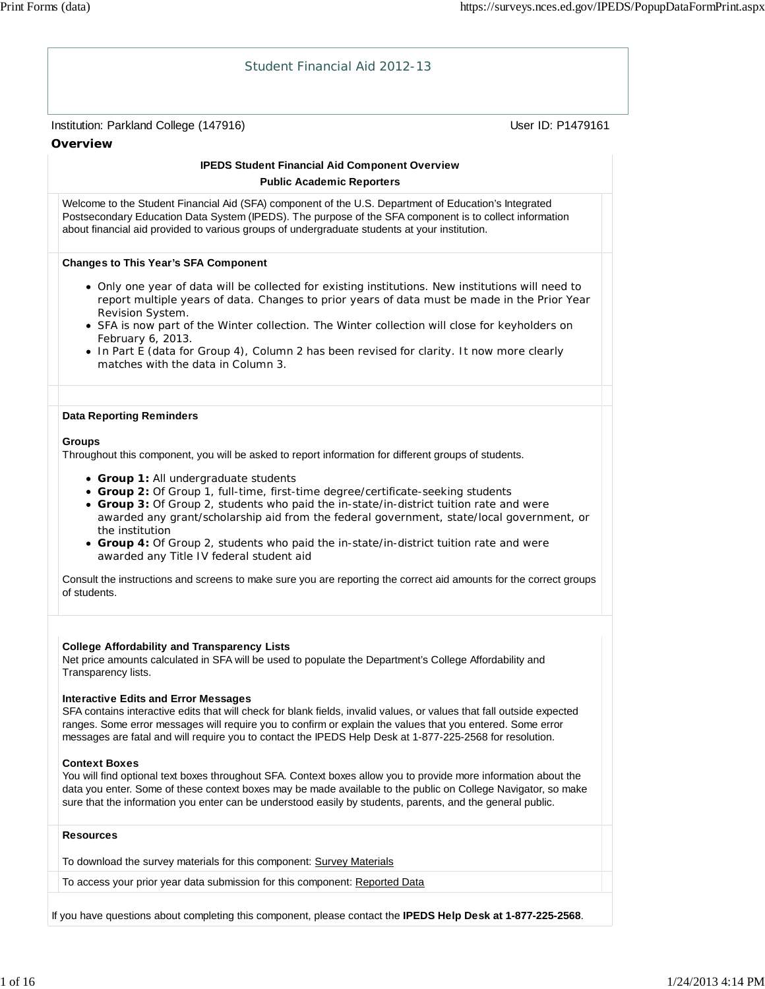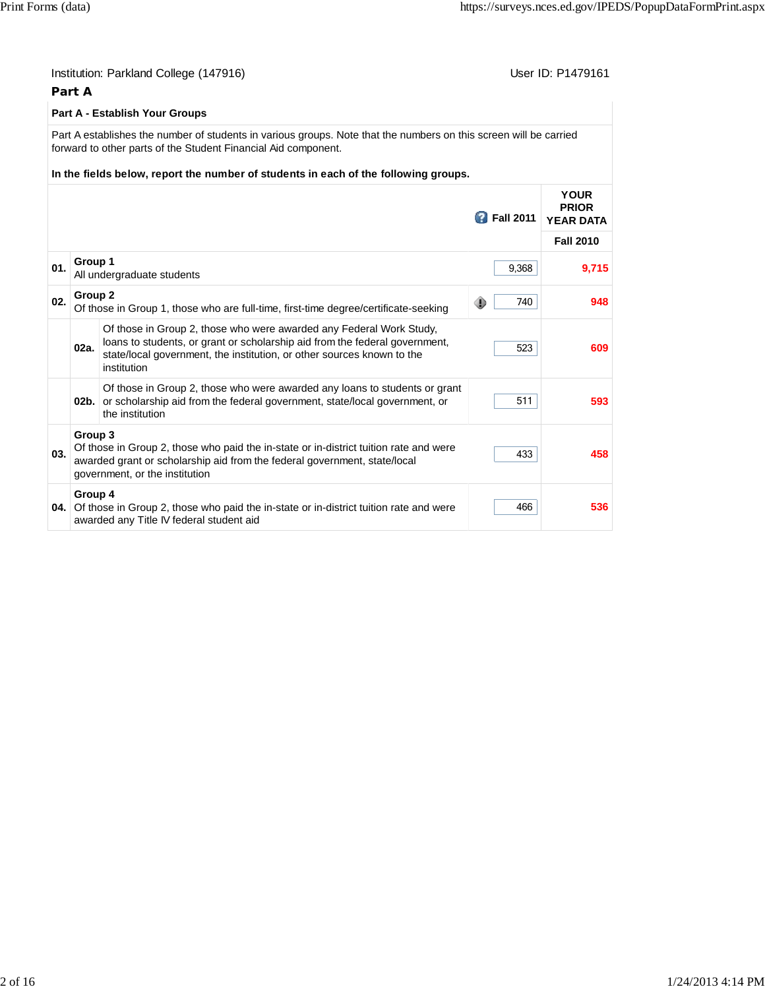|     | Part A  | Institution: Parkland College (147916)                                                                                                                                                                                                                                     |                    | User ID: P1479161                               |
|-----|---------|----------------------------------------------------------------------------------------------------------------------------------------------------------------------------------------------------------------------------------------------------------------------------|--------------------|-------------------------------------------------|
|     |         | Part A - Establish Your Groups                                                                                                                                                                                                                                             |                    |                                                 |
|     |         | Part A establishes the number of students in various groups. Note that the numbers on this screen will be carried<br>forward to other parts of the Student Financial Aid component.<br>In the fields below, report the number of students in each of the following groups. |                    |                                                 |
|     |         |                                                                                                                                                                                                                                                                            | <b>B</b> Fall 2011 | <b>YOUR</b><br><b>PRIOR</b><br><b>YEAR DATA</b> |
|     |         |                                                                                                                                                                                                                                                                            |                    | <b>Fall 2010</b>                                |
| 01. | Group 1 | All undergraduate students                                                                                                                                                                                                                                                 | 9,368              | 9,715                                           |
| 02. | Group 2 | Of those in Group 1, those who are full-time, first-time degree/certificate-seeking                                                                                                                                                                                        | 740                | 948                                             |
|     | 02a.    | Of those in Group 2, those who were awarded any Federal Work Study,<br>loans to students, or grant or scholarship aid from the federal government,<br>state/local government, the institution, or other sources known to the<br>institution                                | 523                | 609                                             |
|     |         | Of those in Group 2, those who were awarded any loans to students or grant<br>02b. or scholarship aid from the federal government, state/local government, or<br>the institution                                                                                           | 511                | 593                                             |
| 03. | Group 3 | Of those in Group 2, those who paid the in-state or in-district tuition rate and were<br>awarded grant or scholarship aid from the federal government, state/local<br>government, or the institution                                                                       | 433                | 458                                             |
|     | Group 4 | <b>04.</b> Of those in Group 2, those who paid the in-state or in-district tuition rate and were<br>awarded any Title IV federal student aid                                                                                                                               | 466                | 536                                             |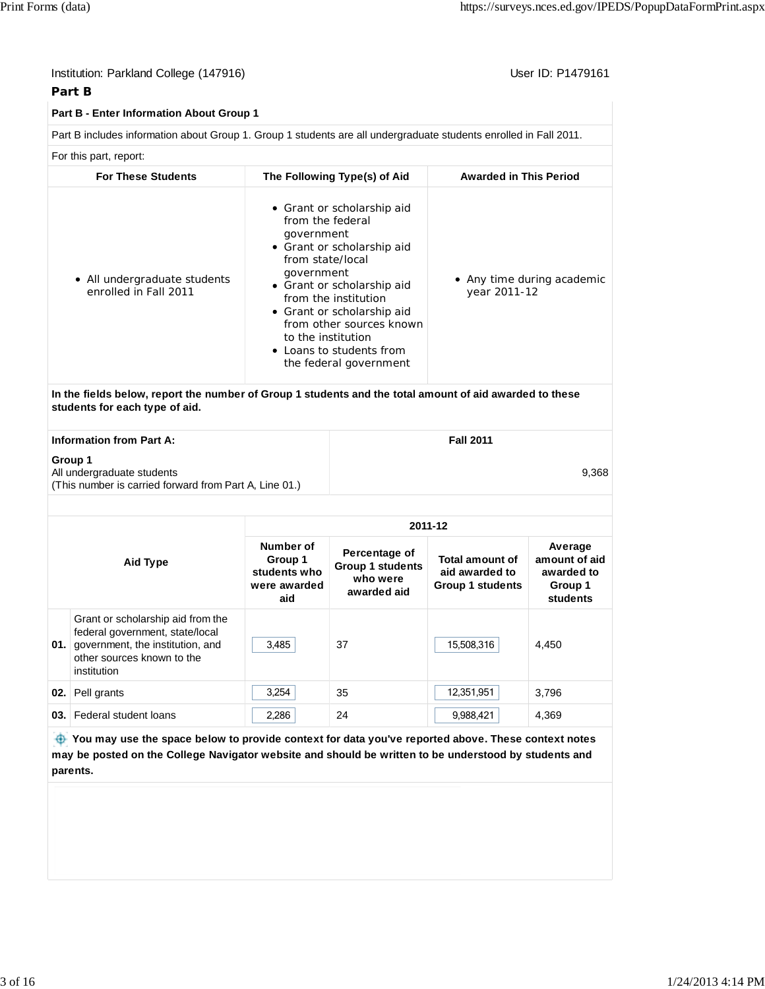| Institution: Parkland College (147916)<br>Part B |                                                                                                                                                                                                                         |                                                                                        |                                                                                                                                                                                                                                |                                                                     | User ID: P1479161                                             |
|--------------------------------------------------|-------------------------------------------------------------------------------------------------------------------------------------------------------------------------------------------------------------------------|----------------------------------------------------------------------------------------|--------------------------------------------------------------------------------------------------------------------------------------------------------------------------------------------------------------------------------|---------------------------------------------------------------------|---------------------------------------------------------------|
|                                                  | Part B - Enter Information About Group 1                                                                                                                                                                                |                                                                                        |                                                                                                                                                                                                                                |                                                                     |                                                               |
|                                                  | Part B includes information about Group 1. Group 1 students are all undergraduate students enrolled in Fall 2011.                                                                                                       |                                                                                        |                                                                                                                                                                                                                                |                                                                     |                                                               |
|                                                  | For this part, report:                                                                                                                                                                                                  |                                                                                        |                                                                                                                                                                                                                                |                                                                     |                                                               |
|                                                  | <b>For These Students</b>                                                                                                                                                                                               |                                                                                        | The Following Type(s) of Aid                                                                                                                                                                                                   | <b>Awarded in This Period</b>                                       |                                                               |
|                                                  | • All undergraduate students<br>enrolled in Fall 2011                                                                                                                                                                   | from the federal<br>government<br>from state/local<br>government<br>to the institution | • Grant or scholarship aid<br>• Grant or scholarship aid<br>• Grant or scholarship aid<br>from the institution<br>• Grant or scholarship aid<br>from other sources known<br>• Loans to students from<br>the federal government | year 2011-12                                                        | • Any time during academic                                    |
|                                                  | In the fields below, report the number of Group 1 students and the total amount of aid awarded to these<br>students for each type of aid.                                                                               |                                                                                        |                                                                                                                                                                                                                                |                                                                     |                                                               |
|                                                  | <b>Information from Part A:</b>                                                                                                                                                                                         |                                                                                        |                                                                                                                                                                                                                                | <b>Fall 2011</b>                                                    |                                                               |
|                                                  | Group 1<br>All undergraduate students<br>(This number is carried forward from Part A, Line 01.)                                                                                                                         |                                                                                        |                                                                                                                                                                                                                                |                                                                     | 9,368                                                         |
|                                                  |                                                                                                                                                                                                                         |                                                                                        |                                                                                                                                                                                                                                | 2011-12                                                             |                                                               |
|                                                  | <b>Aid Type</b>                                                                                                                                                                                                         | Number of<br>Group 1<br>students who<br>were awarded<br>aid                            | Percentage of<br><b>Group 1 students</b><br>who were<br>awarded aid                                                                                                                                                            | <b>Total amount of</b><br>aid awarded to<br><b>Group 1 students</b> | Average<br>amount of aid<br>awarded to<br>Group 1<br>students |
| 01.                                              | Grant or scholarship aid from the<br>federal government, state/local<br>government, the institution, and<br>other sources known to the<br>institution                                                                   | 3,485                                                                                  | 37                                                                                                                                                                                                                             | 15,508,316                                                          | 4,450                                                         |
| 02.1                                             | Pell grants                                                                                                                                                                                                             | 3,254                                                                                  | 35                                                                                                                                                                                                                             | 12,351,951                                                          | 3,796                                                         |
| 03. I                                            | Federal student loans                                                                                                                                                                                                   | 2,286                                                                                  | 24                                                                                                                                                                                                                             | 9,988,421                                                           | 4,369                                                         |
|                                                  | $\bigoplus$ You may use the space below to provide context for data you've reported above. These context notes<br>may be posted on the College Navigator website and should be written to be understood by students and |                                                                                        |                                                                                                                                                                                                                                |                                                                     |                                                               |
|                                                  | parents.                                                                                                                                                                                                                |                                                                                        |                                                                                                                                                                                                                                |                                                                     |                                                               |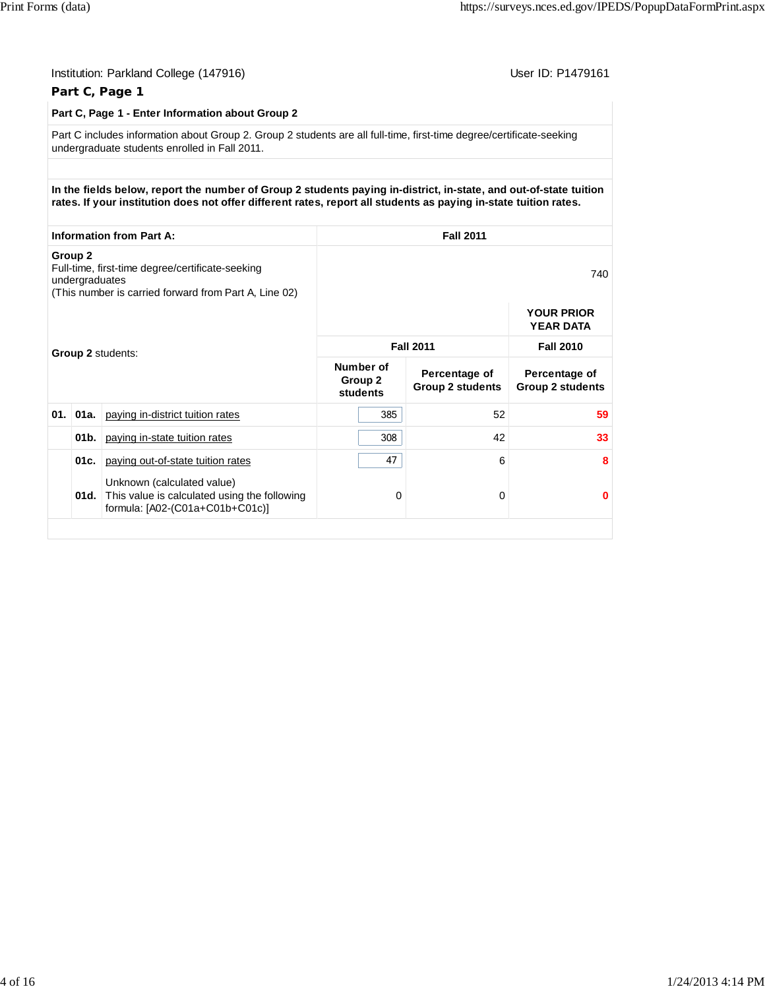|                    |                | Institution: Parkland College (147916)<br>Part C, Page 1                                                                                                                                                                              |                                             |                                          | User ID: P1479161                        |
|--------------------|----------------|---------------------------------------------------------------------------------------------------------------------------------------------------------------------------------------------------------------------------------------|---------------------------------------------|------------------------------------------|------------------------------------------|
|                    |                | Part C, Page 1 - Enter Information about Group 2                                                                                                                                                                                      |                                             |                                          |                                          |
|                    |                | Part C includes information about Group 2. Group 2 students are all full-time, first-time degree/certificate-seeking<br>undergraduate students enrolled in Fall 2011.                                                                 |                                             |                                          |                                          |
|                    |                |                                                                                                                                                                                                                                       |                                             |                                          |                                          |
|                    |                | In the fields below, report the number of Group 2 students paying in-district, in-state, and out-of-state tuition<br>rates. If your institution does not offer different rates, report all students as paying in-state tuition rates. |                                             |                                          |                                          |
|                    |                | <b>Information from Part A:</b>                                                                                                                                                                                                       |                                             | <b>Fall 2011</b>                         |                                          |
| Group <sub>2</sub> | undergraduates | Full-time, first-time degree/certificate-seeking<br>(This number is carried forward from Part A, Line 02)                                                                                                                             |                                             |                                          | 740                                      |
|                    |                |                                                                                                                                                                                                                                       |                                             |                                          | <b>YOUR PRIOR</b><br><b>YEAR DATA</b>    |
|                    |                | Group 2 students:                                                                                                                                                                                                                     | <b>Fall 2011</b>                            | <b>Fall 2010</b>                         |                                          |
|                    |                |                                                                                                                                                                                                                                       | Number of<br>Group <sub>2</sub><br>students | Percentage of<br><b>Group 2 students</b> | Percentage of<br><b>Group 2 students</b> |
| 01.                | $01a$ .        | paying in-district tuition rates                                                                                                                                                                                                      | 385                                         | 52                                       | 59                                       |
|                    | 01b.           | paying in-state tuition rates                                                                                                                                                                                                         | 308                                         | 42                                       | 33                                       |
|                    | 01c.           | paying out-of-state tuition rates                                                                                                                                                                                                     | 47                                          | 6                                        | 8                                        |
|                    | 01d.           | Unknown (calculated value)<br>This value is calculated using the following<br>formula: [A02-(C01a+C01b+C01c)]                                                                                                                         | 0                                           | 0                                        | $\bf{0}$                                 |
|                    |                |                                                                                                                                                                                                                                       |                                             |                                          |                                          |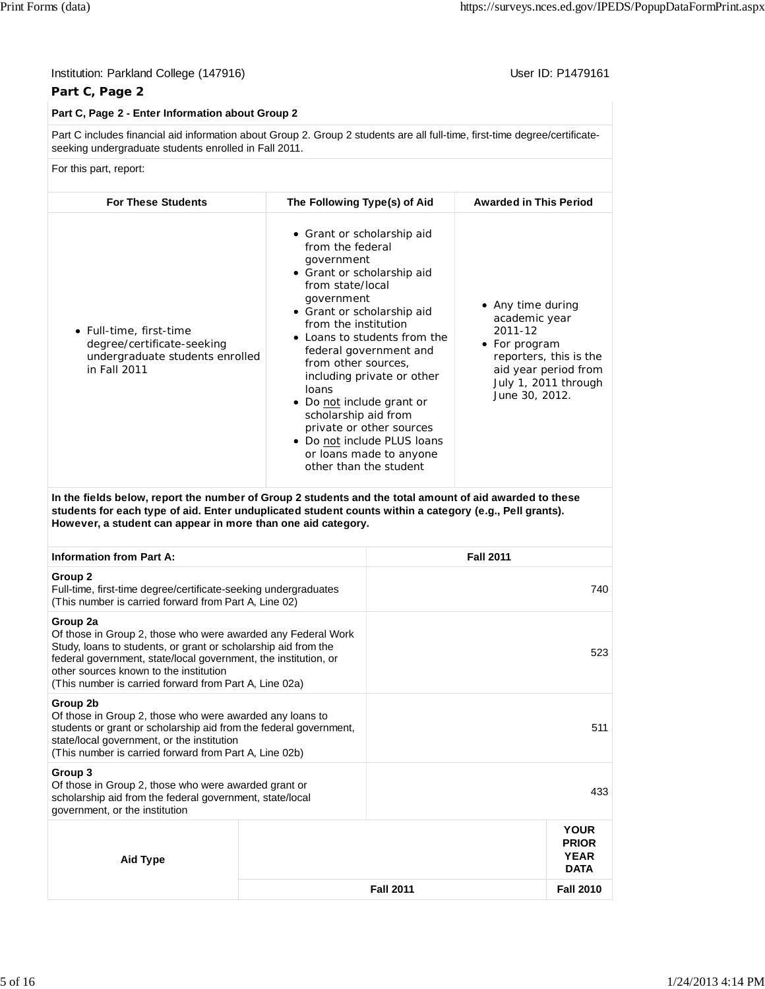| Institution: Parkland College (147916)<br>Part C, Page 2                                                                                                                                                                                                                                                          |                                                                                                                                                                                                                                                                                                   |                                                                                                                                                                            |                                                                                  | User ID: P1479161                                                      |
|-------------------------------------------------------------------------------------------------------------------------------------------------------------------------------------------------------------------------------------------------------------------------------------------------------------------|---------------------------------------------------------------------------------------------------------------------------------------------------------------------------------------------------------------------------------------------------------------------------------------------------|----------------------------------------------------------------------------------------------------------------------------------------------------------------------------|----------------------------------------------------------------------------------|------------------------------------------------------------------------|
| Part C, Page 2 - Enter Information about Group 2                                                                                                                                                                                                                                                                  |                                                                                                                                                                                                                                                                                                   |                                                                                                                                                                            |                                                                                  |                                                                        |
| Part C includes financial aid information about Group 2. Group 2 students are all full-time, first-time degree/certificate-<br>seeking undergraduate students enrolled in Fall 2011.                                                                                                                              |                                                                                                                                                                                                                                                                                                   |                                                                                                                                                                            |                                                                                  |                                                                        |
| For this part, report:                                                                                                                                                                                                                                                                                            |                                                                                                                                                                                                                                                                                                   |                                                                                                                                                                            |                                                                                  |                                                                        |
| <b>For These Students</b>                                                                                                                                                                                                                                                                                         | The Following Type(s) of Aid                                                                                                                                                                                                                                                                      |                                                                                                                                                                            | <b>Awarded in This Period</b>                                                    |                                                                        |
| • Full-time, first-time<br>degree/certificate-seeking<br>undergraduate students enrolled<br>in Fall 2011                                                                                                                                                                                                          | • Grant or scholarship aid<br>from the federal<br>government<br>• Grant or scholarship aid<br>from state/local<br>government<br>• Grant or scholarship aid<br>from the institution<br>from other sources,<br>loans<br>• Do not include grant or<br>scholarship aid from<br>other than the student | • Loans to students from the<br>federal government and<br>including private or other<br>private or other sources<br>• Do not include PLUS loans<br>or loans made to anyone | • Any time during<br>academic year<br>2011-12<br>• For program<br>June 30, 2012. | reporters, this is the<br>aid year period from<br>July 1, 2011 through |
| In the fields below, report the number of Group 2 students and the total amount of aid awarded to these<br>students for each type of aid. Enter unduplicated student counts within a category (e.g., Pell grants).<br>However, a student can appear in more than one aid category.                                |                                                                                                                                                                                                                                                                                                   |                                                                                                                                                                            |                                                                                  |                                                                        |
| <b>Information from Part A:</b>                                                                                                                                                                                                                                                                                   |                                                                                                                                                                                                                                                                                                   |                                                                                                                                                                            | <b>Fall 2011</b>                                                                 |                                                                        |
| Group <sub>2</sub><br>Full-time, first-time degree/certificate-seeking undergraduates<br>(This number is carried forward from Part A, Line 02)                                                                                                                                                                    |                                                                                                                                                                                                                                                                                                   |                                                                                                                                                                            |                                                                                  | 740                                                                    |
| Group 2a<br>Of those in Group 2, those who were awarded any Federal Work<br>Study, loans to students, or grant or scholarship aid from the<br>federal government, state/local government, the institution, or<br>other sources known to the institution<br>(This number is carried forward from Part A, Line 02a) |                                                                                                                                                                                                                                                                                                   |                                                                                                                                                                            |                                                                                  | 523                                                                    |
| Group 2b<br>Of those in Group 2, those who were awarded any loans to<br>students or grant or scholarship aid from the federal government,<br>state/local government, or the institution<br>(This number is carried forward from Part A, Line 02b)                                                                 |                                                                                                                                                                                                                                                                                                   |                                                                                                                                                                            |                                                                                  | 511                                                                    |
| Group 3<br>Of those in Group 2, those who were awarded grant or<br>scholarship aid from the federal government, state/local<br>government, or the institution                                                                                                                                                     |                                                                                                                                                                                                                                                                                                   |                                                                                                                                                                            |                                                                                  | 433                                                                    |
| <b>Aid Type</b>                                                                                                                                                                                                                                                                                                   |                                                                                                                                                                                                                                                                                                   |                                                                                                                                                                            |                                                                                  | <b>YOUR</b><br><b>PRIOR</b><br>YEAR<br><b>DATA</b>                     |
|                                                                                                                                                                                                                                                                                                                   |                                                                                                                                                                                                                                                                                                   | <b>Fall 2011</b>                                                                                                                                                           |                                                                                  | <b>Fall 2010</b>                                                       |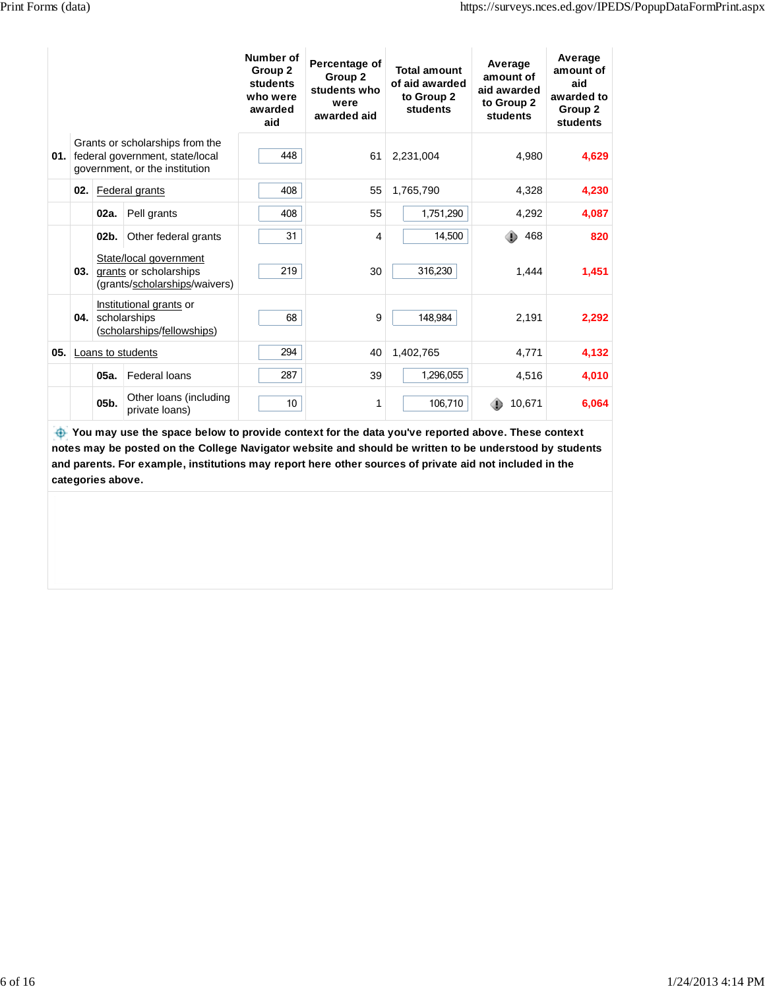|      |         |                                                                                                          | Number of<br>Group 2<br>students<br>who were<br>awarded<br>aid | Percentage of<br>Group 2<br>students who<br>were<br>awarded aid | <b>Total amount</b><br>of aid awarded<br>to Group 2<br>students | Average<br>amount of<br>aid awarded<br>to Group 2<br>students | Average<br>amount of<br>aid<br>awarded to<br>Group 2<br>students |
|------|---------|----------------------------------------------------------------------------------------------------------|----------------------------------------------------------------|-----------------------------------------------------------------|-----------------------------------------------------------------|---------------------------------------------------------------|------------------------------------------------------------------|
|      |         | Grants or scholarships from the<br>01. federal government, state/local<br>government, or the institution | 448                                                            | 61                                                              | 2,231,004                                                       | 4,980                                                         | 4,629                                                            |
| 02.  |         | <b>Federal grants</b>                                                                                    | 408                                                            | 55                                                              | 1.765.790                                                       | 4,328                                                         | 4,230                                                            |
|      | 02a.    | Pell grants                                                                                              | 408                                                            | 55                                                              | 1,751,290                                                       | 4,292                                                         | 4,087                                                            |
|      | $02b$ . | Other federal grants                                                                                     | 31                                                             | 4                                                               | 14,500                                                          | 468                                                           | 820                                                              |
| 03.1 |         | State/local government<br>grants or scholarships<br>(grants/scholarships/waivers)                        | 219                                                            | 30                                                              | 316,230                                                         | 1,444                                                         | 1,451                                                            |
| 04.  |         | Institutional grants or<br>scholarships<br>(scholarships/fellowships)                                    | 68                                                             | 9                                                               | 148,984                                                         | 2,191                                                         | 2,292                                                            |
|      |         | 05. Loans to students                                                                                    | 294                                                            | 40                                                              | 1,402,765                                                       | 4,771                                                         | 4,132                                                            |
|      | 05a.    | <b>Federal loans</b>                                                                                     | 287                                                            | 39                                                              | 1,296,055                                                       | 4,516                                                         | 4,010                                                            |
|      | $05b$ . | Other Ioans (including<br>private loans)                                                                 | 10                                                             | 1                                                               | 106,710                                                         | 10,671                                                        | 6,064                                                            |

You may use the space below to provide context for the data you've reported above. These context **notes may be posted on the College Navigator website and should be written to be understood by students and parents. For example, institutions may report here other sources of private aid not included in the categories above.**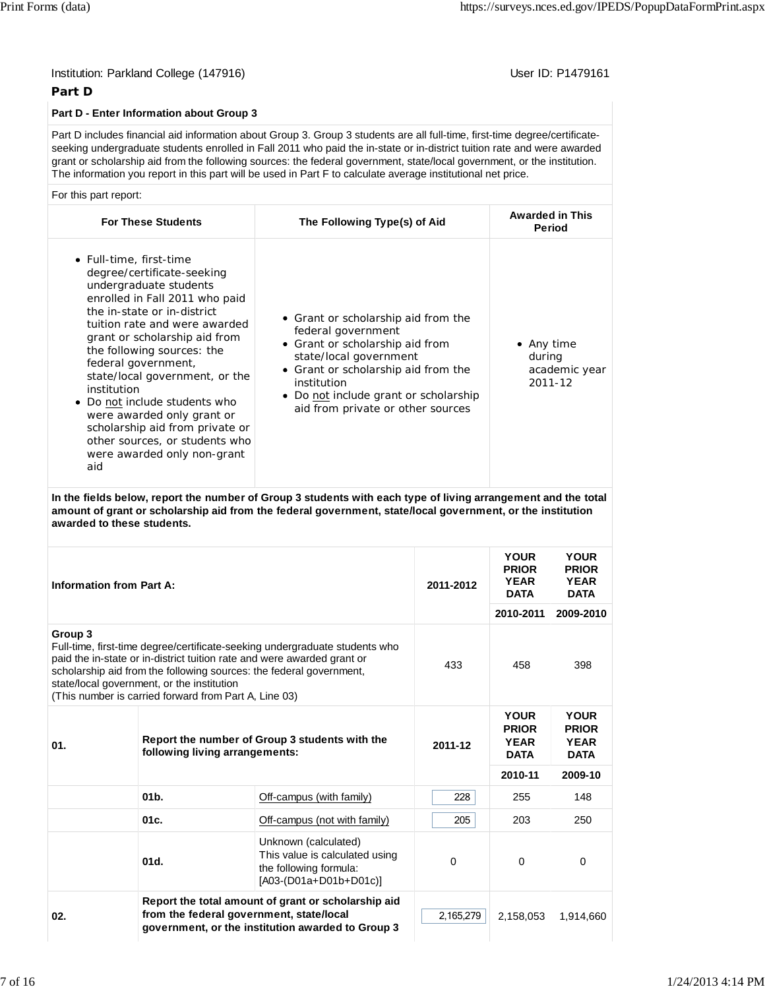## Institution: Parkland College (147916) **Institution: Parkland College (1479161** Institution: Parkland College (147916)

### **Part D**

#### **Part D - Enter Information about Group 3**

Part D includes financial aid information about Group 3. Group 3 students are all full-time, first-time degree/certificateseeking undergraduate students enrolled in Fall 2011 who paid the in-state or in-district tuition rate and were awarded grant or scholarship aid from the following sources: the federal government, state/local government, or the institution. The information you report in this part will be used in Part F to calculate average institutional net price.

For this part report:

| <b>For These Students</b>                                                                                                                                                                                                                                                                                                                                                                                                                                                                          | The Following Type(s) of Aid                                                                                                                                                                                                                               | <b>Awarded in This</b><br><b>Period</b>          |
|----------------------------------------------------------------------------------------------------------------------------------------------------------------------------------------------------------------------------------------------------------------------------------------------------------------------------------------------------------------------------------------------------------------------------------------------------------------------------------------------------|------------------------------------------------------------------------------------------------------------------------------------------------------------------------------------------------------------------------------------------------------------|--------------------------------------------------|
| • Full-time, first-time<br>degree/certificate-seeking<br>undergraduate students<br>enrolled in Fall 2011 who paid<br>the in-state or in-district<br>tuition rate and were awarded<br>grant or scholarship aid from<br>the following sources: the<br>federal government,<br>state/local government, or the<br>institution<br>• Do not include students who<br>were awarded only grant or<br>scholarship aid from private or<br>other sources, or students who<br>were awarded only non-grant<br>aid | • Grant or scholarship aid from the<br>federal government<br>• Grant or scholarship aid from<br>state/local government<br>• Grant or scholarship aid from the<br>institution<br>• Do not include grant or scholarship<br>aid from private or other sources | • Any time<br>during<br>academic year<br>2011-12 |

**In the fields below, report the number of Group 3 students with each type of living arrangement and the total amount of grant or scholarship aid from the federal government, state/local government, or the institution awarded to these students.**

| Information from Part A: |                                                                                                     |                                                                                                                                                                                                                               | 2011-2012 | <b>YOUR</b><br><b>PRIOR</b><br><b>YEAR</b><br><b>DATA</b><br>2010-2011 | <b>YOUR</b><br><b>PRIOR</b><br><b>YEAR</b><br><b>DATA</b><br>2009-2010 |
|--------------------------|-----------------------------------------------------------------------------------------------------|-------------------------------------------------------------------------------------------------------------------------------------------------------------------------------------------------------------------------------|-----------|------------------------------------------------------------------------|------------------------------------------------------------------------|
| Group 3                  | state/local government, or the institution<br>(This number is carried forward from Part A, Line 03) | Full-time, first-time degree/certificate-seeking undergraduate students who<br>paid the in-state or in-district tuition rate and were awarded grant or<br>scholarship aid from the following sources: the federal government, | 433       | 458                                                                    | 398                                                                    |
| 01.                      | following living arrangements:                                                                      | Report the number of Group 3 students with the                                                                                                                                                                                | 2011-12   | <b>YOUR</b><br><b>PRIOR</b><br><b>YEAR</b><br><b>DATA</b>              | <b>YOUR</b><br><b>PRIOR</b><br><b>YEAR</b><br><b>DATA</b>              |
|                          |                                                                                                     |                                                                                                                                                                                                                               |           | 2010-11                                                                | 2009-10                                                                |
|                          | $01b$ .                                                                                             | Off-campus (with family)                                                                                                                                                                                                      | 228       | 255                                                                    | 148                                                                    |
|                          | 01c.                                                                                                | Off-campus (not with family)                                                                                                                                                                                                  | 205       | 203                                                                    | 250                                                                    |
|                          | 01d.                                                                                                | Unknown (calculated)<br>This value is calculated using<br>the following formula:<br>[A03-(D01a+D01b+D01c)]                                                                                                                    | $\Omega$  | 0                                                                      | 0                                                                      |
| 02.                      | from the federal government, state/local                                                            | Report the total amount of grant or scholarship aid<br>government, or the institution awarded to Group 3                                                                                                                      | 2,165,279 | 2,158,053                                                              | 1,914,660                                                              |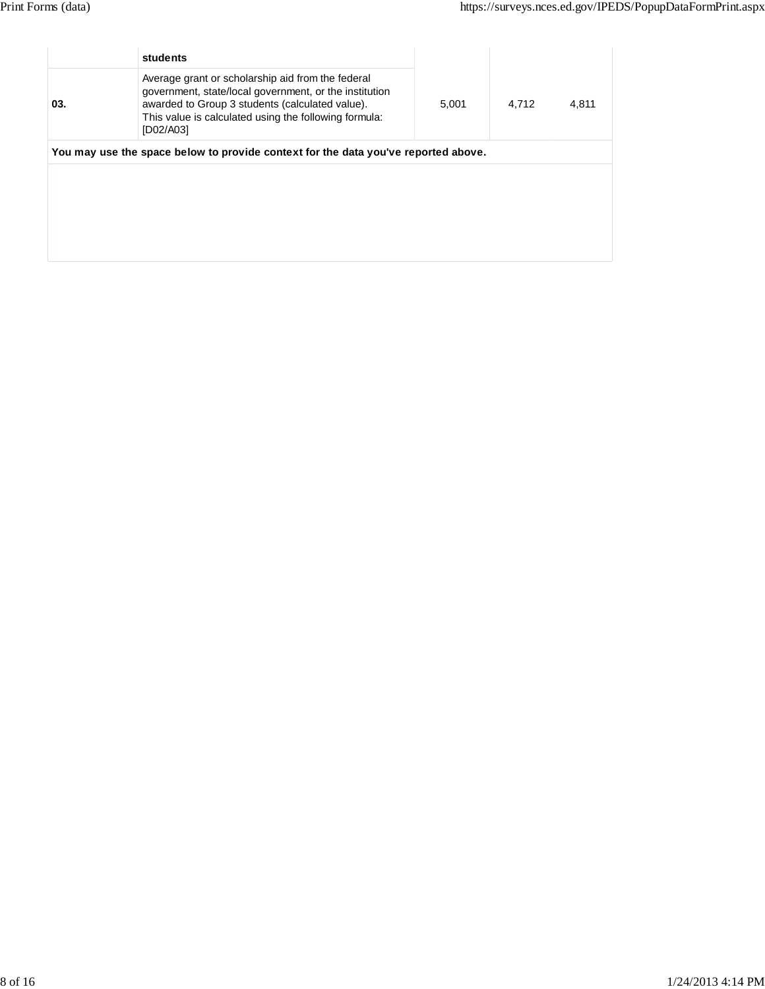|     | students                                                                                                                                                                                                                             |       |       |       |
|-----|--------------------------------------------------------------------------------------------------------------------------------------------------------------------------------------------------------------------------------------|-------|-------|-------|
| 03. | Average grant or scholarship aid from the federal<br>government, state/local government, or the institution<br>awarded to Group 3 students (calculated value).<br>This value is calculated using the following formula:<br>[D02/A03] | 5,001 | 4.712 | 4,811 |
|     | You may use the space below to provide context for the data you've reported above.                                                                                                                                                   |       |       |       |
|     |                                                                                                                                                                                                                                      |       |       |       |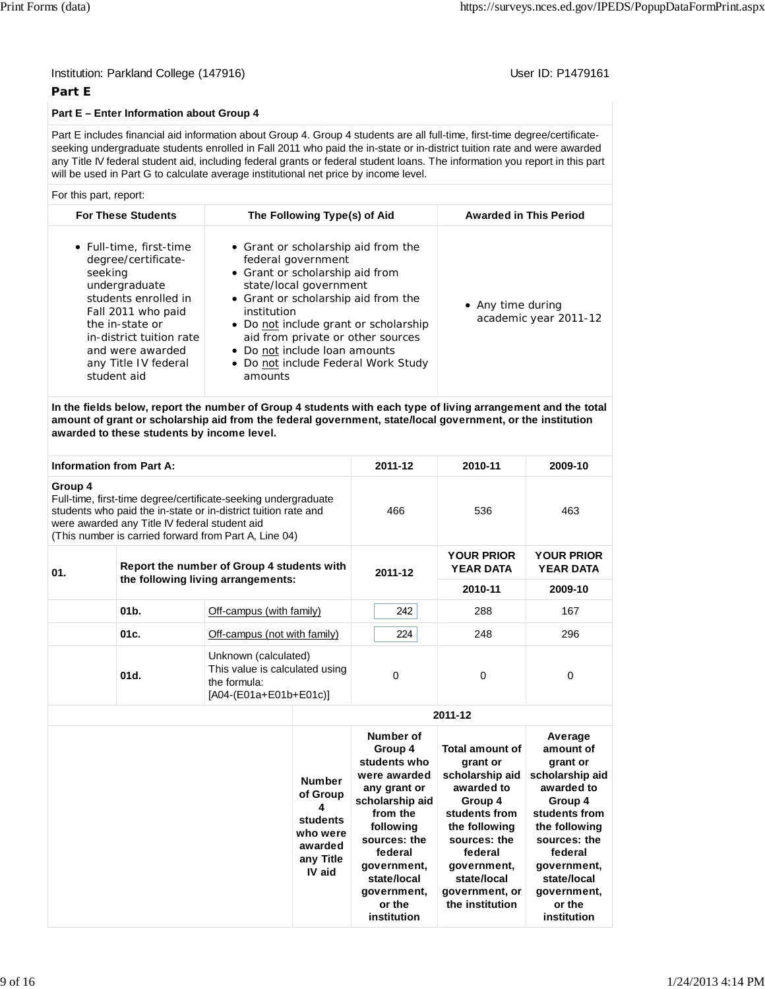## Institution: Parkland College (147916) **User ID: P1479161** User ID: P1479161

#### **Part E**

#### **Part E – Enter Information about Group 4**

Part E includes financial aid information about Group 4. Group 4 students are all full-time, first-time degree/certificateseeking undergraduate students enrolled in Fall 2011 who paid the in-state or in-district tuition rate and were awarded any Title IV federal student aid, including federal grants or federal student loans. The information you report in this part will be used in Part G to calculate average institutional net price by income level.

#### For this part, report:

| <b>For These Students</b>                                                                                                                                                                                                          | The Following Type(s) of Aid                                                                                                                                                                                                                                                                                                                  | <b>Awarded in This Period</b>              |
|------------------------------------------------------------------------------------------------------------------------------------------------------------------------------------------------------------------------------------|-----------------------------------------------------------------------------------------------------------------------------------------------------------------------------------------------------------------------------------------------------------------------------------------------------------------------------------------------|--------------------------------------------|
| • Full-time, first-time<br>degree/certificate-<br>seeking<br>undergraduate<br>students enrolled in<br>Fall 2011 who paid<br>the in-state or<br>in-district tuition rate<br>and were awarded<br>any Title IV federal<br>student aid | • Grant or scholarship aid from the<br>federal government<br>• Grant or scholarship aid from<br>state/local government<br>• Grant or scholarship aid from the<br>institution<br>• Do not include grant or scholarship<br>aid from private or other sources<br>• Do not include loan amounts<br>• Do not include Federal Work Study<br>amounts | • Any time during<br>academic year 2011-12 |

**In the fields below, report the number of Group 4 students with each type of living arrangement and the total amount of grant or scholarship aid from the federal government, state/local government, or the institution awarded to these students by income level.**

| <b>Information from Part A:</b> |                                                                                                                                                                                                                                            |                                                                                                  |                                                                                          | 2011-12                                                                                                                                                                                                           | 2010-11                                                                                                                                                                                                        | 2009-10                                                                                                                                                                                                         |
|---------------------------------|--------------------------------------------------------------------------------------------------------------------------------------------------------------------------------------------------------------------------------------------|--------------------------------------------------------------------------------------------------|------------------------------------------------------------------------------------------|-------------------------------------------------------------------------------------------------------------------------------------------------------------------------------------------------------------------|----------------------------------------------------------------------------------------------------------------------------------------------------------------------------------------------------------------|-----------------------------------------------------------------------------------------------------------------------------------------------------------------------------------------------------------------|
| Group 4                         | Full-time, first-time degree/certificate-seeking undergraduate<br>students who paid the in-state or in-district tuition rate and<br>were awarded any Title IV federal student aid<br>(This number is carried forward from Part A, Line 04) |                                                                                                  |                                                                                          | 466                                                                                                                                                                                                               | 536                                                                                                                                                                                                            | 463                                                                                                                                                                                                             |
| 01.                             |                                                                                                                                                                                                                                            | Report the number of Group 4 students with                                                       |                                                                                          | 2011-12                                                                                                                                                                                                           | <b>YOUR PRIOR</b><br><b>YEAR DATA</b>                                                                                                                                                                          | <b>YOUR PRIOR</b><br><b>YEAR DATA</b>                                                                                                                                                                           |
|                                 |                                                                                                                                                                                                                                            | the following living arrangements:                                                               |                                                                                          |                                                                                                                                                                                                                   | 2010-11                                                                                                                                                                                                        | 2009-10                                                                                                                                                                                                         |
|                                 | 01 <sub>b</sub>                                                                                                                                                                                                                            | Off-campus (with family)                                                                         |                                                                                          | 242                                                                                                                                                                                                               | 288                                                                                                                                                                                                            | 167                                                                                                                                                                                                             |
|                                 | 01c.                                                                                                                                                                                                                                       | Off-campus (not with family)                                                                     |                                                                                          | 224                                                                                                                                                                                                               | 248                                                                                                                                                                                                            | 296                                                                                                                                                                                                             |
|                                 | 01d.                                                                                                                                                                                                                                       | Unknown (calculated)<br>This value is calculated using<br>the formula:<br>[A04-(E01a+E01b+E01c)] |                                                                                          | 0                                                                                                                                                                                                                 | $\Omega$                                                                                                                                                                                                       | $\Omega$                                                                                                                                                                                                        |
|                                 |                                                                                                                                                                                                                                            |                                                                                                  |                                                                                          |                                                                                                                                                                                                                   | 2011-12                                                                                                                                                                                                        |                                                                                                                                                                                                                 |
|                                 |                                                                                                                                                                                                                                            |                                                                                                  | <b>Number</b><br>of Group<br>4<br>students<br>who were<br>awarded<br>any Title<br>IV aid | Number of<br>Group 4<br>students who<br>were awarded<br>any grant or<br>scholarship aid<br>from the<br>following<br>sources: the<br>federal<br>government,<br>state/local<br>government,<br>or the<br>institution | <b>Total amount of</b><br>grant or<br>scholarship aid<br>awarded to<br>Group 4<br>students from<br>the following<br>sources: the<br>federal<br>government,<br>state/local<br>government, or<br>the institution | Average<br>amount of<br>grant or<br>scholarship aid<br>awarded to<br>Group 4<br>students from<br>the following<br>sources: the<br>federal<br>government,<br>state/local<br>government,<br>or the<br>institution |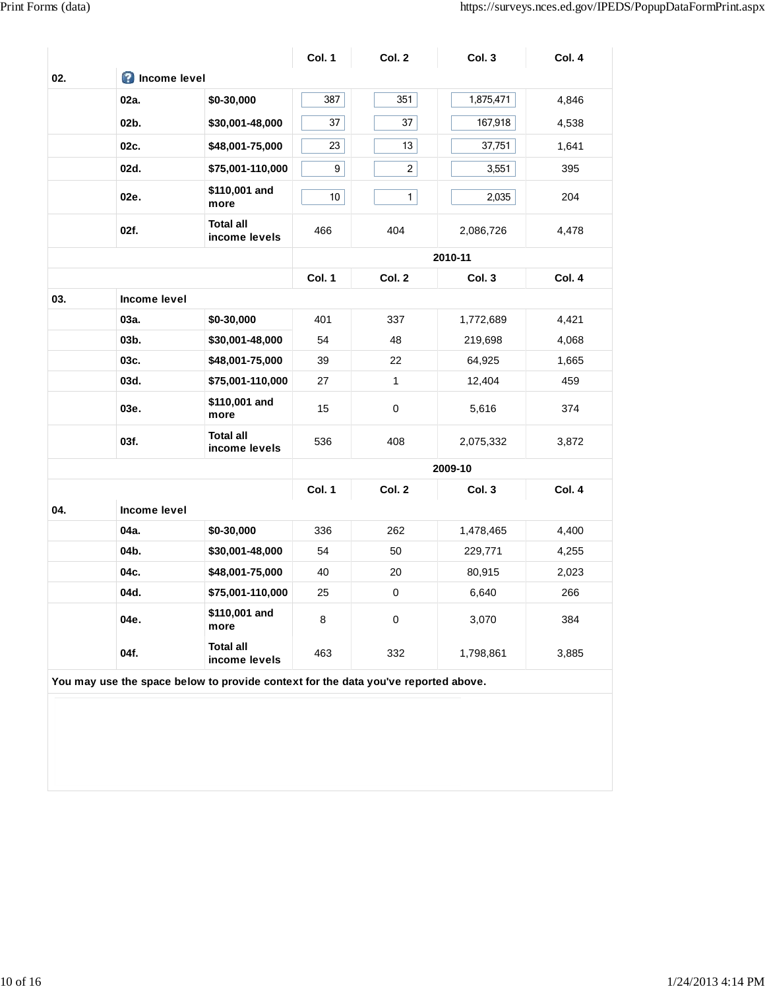|     |                       |                                   | Col. 1          | Col. 2         | Col. 3    | Col. 4 |
|-----|-----------------------|-----------------------------------|-----------------|----------------|-----------|--------|
| 02. | <b>O</b> Income level |                                   |                 |                |           |        |
|     | 02a.                  | \$0-30,000                        | 387             | 351            | 1,875,471 | 4,846  |
|     | 02b.                  | \$30,001-48,000                   | 37              | 37             | 167,918   | 4,538  |
|     | 02c.                  | \$48,001-75,000                   | 23              | 13             | 37,751    | 1,641  |
|     | 02d.                  | \$75,001-110,000                  | 9               | $\overline{2}$ | 3,551     | 395    |
|     | 02e.                  | \$110,001 and<br>more             | 10 <sup>1</sup> | 1              | 2,035     | 204    |
|     | 02f.                  | <b>Total all</b><br>income levels | 466             | 404            | 2,086,726 | 4,478  |
|     |                       |                                   |                 |                | 2010-11   |        |
|     |                       |                                   | Col. 1          | Col. 2         | Col.3     | Col. 4 |
| 03. | Income level          |                                   |                 |                |           |        |
|     | 03a.                  | \$0-30,000                        | 401             | 337            | 1,772,689 | 4,421  |
|     | 03b.                  | \$30,001-48,000                   | 54              | 48             | 219,698   | 4,068  |
|     | 03c.                  | \$48,001-75,000                   | 39              | 22             | 64,925    | 1,665  |
|     | 03d.                  | \$75,001-110,000                  | 27              | $\mathbf{1}$   | 12,404    | 459    |
|     | 03e.                  | \$110,001 and<br>more             | 15              | 0              | 5,616     | 374    |
|     | 03f.                  | <b>Total all</b><br>income levels | 536             | 408            | 2,075,332 | 3,872  |
|     |                       |                                   | 2009-10         |                |           |        |
|     |                       |                                   | Col. 1          | Col. 2         | Col.3     | Col. 4 |
| 04. | Income level          |                                   |                 |                |           |        |
|     | 04a.                  | \$0-30,000                        | 336             | 262            | 1,478,465 | 4,400  |
|     | 04b.                  | \$30,001-48,000                   | 54              | 50             | 229,771   | 4,255  |
|     | 04c.                  | \$48,001-75,000                   | 40              | 20             | 80,915    | 2,023  |
|     | 04d.                  | \$75,001-110,000                  | 25              | 0              | 6,640     | 266    |
|     | 04e.                  | \$110,001 and<br>more             | 8               | $\mathbf 0$    | 3,070     | 384    |
|     | 04f.                  | <b>Total all</b><br>income levels | 463             | 332            | 1,798,861 | 3,885  |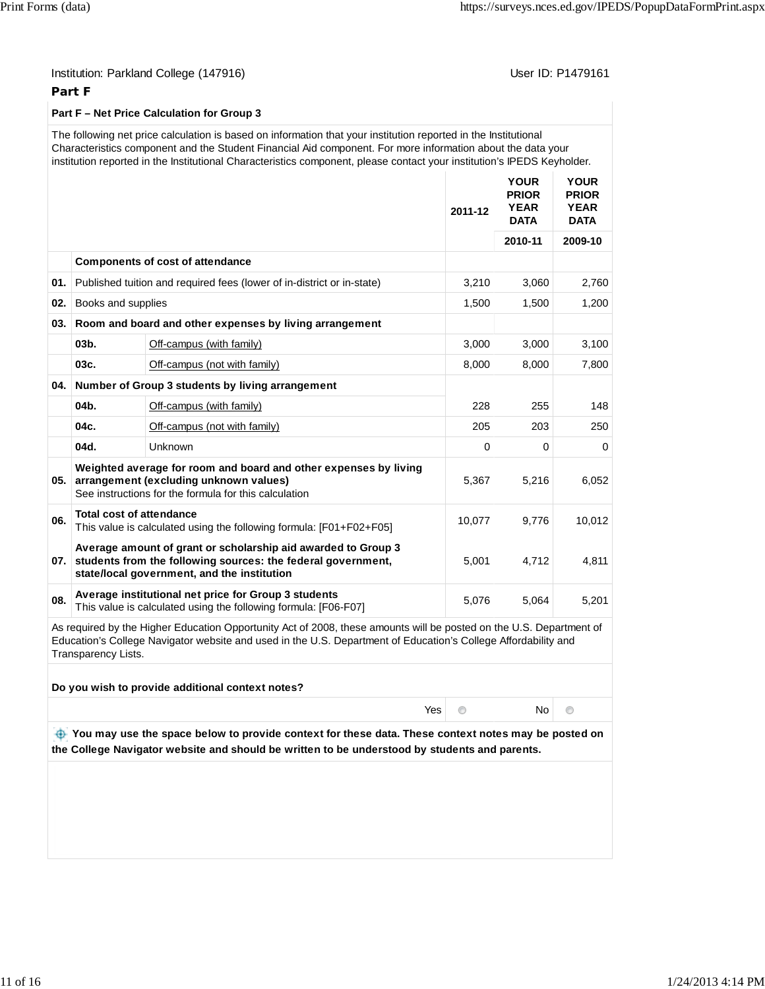User ID: P1479161

### **Part F**

#### **Part F – Net Price Calculation for Group 3**

The following net price calculation is based on information that your institution reported in the Institutional Characteristics component and the Student Financial Aid component. For more information about the data your institution reported in the Institutional Characteristics component, please contact your institution's IPEDS Keyholder.

|     |                                 |                                                                                                                                                                              | 2011-12  | <b>YOUR</b><br><b>PRIOR</b><br><b>YEAR</b><br><b>DATA</b> | <b>YOUR</b><br><b>PRIOR</b><br><b>YEAR</b><br><b>DATA</b> |
|-----|---------------------------------|------------------------------------------------------------------------------------------------------------------------------------------------------------------------------|----------|-----------------------------------------------------------|-----------------------------------------------------------|
|     |                                 |                                                                                                                                                                              |          | 2010-11                                                   | 2009-10                                                   |
|     |                                 | <b>Components of cost of attendance</b>                                                                                                                                      |          |                                                           |                                                           |
| 01. |                                 | Published tuition and required fees (lower of in-district or in-state)                                                                                                       | 3,210    | 3,060                                                     | 2,760                                                     |
| 02. | Books and supplies              |                                                                                                                                                                              | 1,500    | 1,500                                                     | 1,200                                                     |
| 03. |                                 | Room and board and other expenses by living arrangement                                                                                                                      |          |                                                           |                                                           |
|     | $03b$ .                         | Off-campus (with family)                                                                                                                                                     | 3,000    | 3,000                                                     | 3,100                                                     |
|     | 03c.                            | Off-campus (not with family)                                                                                                                                                 | 8,000    | 8,000                                                     | 7,800                                                     |
| 04. |                                 | Number of Group 3 students by living arrangement                                                                                                                             |          |                                                           |                                                           |
|     | 04b.                            | Off-campus (with family)                                                                                                                                                     | 228      | 255                                                       | 148                                                       |
|     | 04c.                            | Off-campus (not with family)                                                                                                                                                 | 205      | 203                                                       | 250                                                       |
|     | 04d.                            | Unknown                                                                                                                                                                      | $\Omega$ | 0                                                         | $\Omega$                                                  |
| 05. |                                 | Weighted average for room and board and other expenses by living<br>arrangement (excluding unknown values)<br>See instructions for the formula for this calculation          | 5,367    | 5,216                                                     | 6,052                                                     |
| 06. | <b>Total cost of attendance</b> | This value is calculated using the following formula: [F01+F02+F05]                                                                                                          | 10,077   | 9,776                                                     | 10,012                                                    |
| 07. |                                 | Average amount of grant or scholarship aid awarded to Group 3<br>students from the following sources: the federal government,<br>state/local government, and the institution | 5,001    | 4,712                                                     | 4,811                                                     |
| 08. |                                 | Average institutional net price for Group 3 students<br>This value is calculated using the following formula: [F06-F07]                                                      | 5,076    | 5,064                                                     | 5,201                                                     |

As required by the Higher Education Opportunity Act of 2008, these amounts will be posted on the U.S. Department of Education's College Navigator website and used in the U.S. Department of Education's College Affordability and Transparency Lists.

| Do you wish to provide additional context notes?                                                                                                                                                         |           |      |         |  |
|----------------------------------------------------------------------------------------------------------------------------------------------------------------------------------------------------------|-----------|------|---------|--|
|                                                                                                                                                                                                          | $Yes \t $ | No l | $\circ$ |  |
| The You may use the space below to provide context for these data. These context notes may be posted on<br>the College Navigator website and should be written to be understood by students and parents. |           |      |         |  |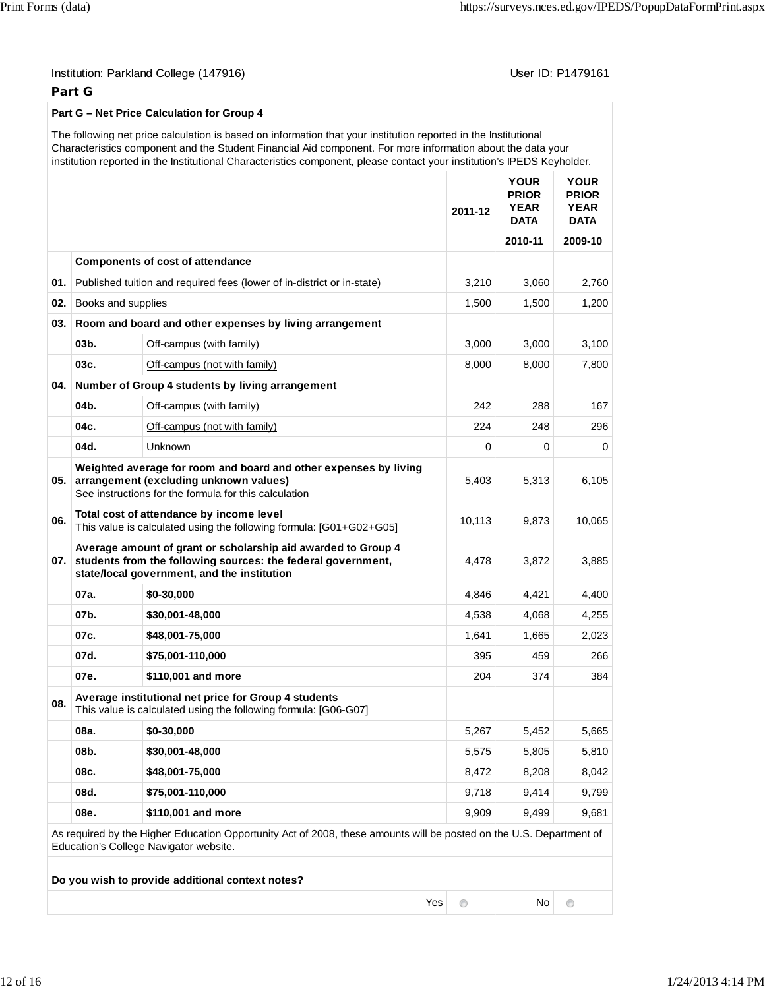## Institution: Parkland College (147916) Contact College (147916)

### **Part G**

#### **Part G – Net Price Calculation for Group 4**

## The following net price calculation is based on information that your institution reported in the Institutional Characteristics component and the Student Financial Aid component. For more information about the data your institution reported in the Institutional Characteristics component, please contact your institution's IPEDS Keyholder.

|                                                                                                                                                               |                    |                                                                                                                                                                                  | 2011-12        | <b>YOUR</b><br><b>PRIOR</b><br><b>YEAR</b><br><b>DATA</b> | <b>YOUR</b><br><b>PRIOR</b><br><b>YEAR</b><br><b>DATA</b> |  |
|---------------------------------------------------------------------------------------------------------------------------------------------------------------|--------------------|----------------------------------------------------------------------------------------------------------------------------------------------------------------------------------|----------------|-----------------------------------------------------------|-----------------------------------------------------------|--|
|                                                                                                                                                               |                    |                                                                                                                                                                                  |                | 2010-11                                                   | 2009-10                                                   |  |
|                                                                                                                                                               |                    | <b>Components of cost of attendance</b>                                                                                                                                          |                |                                                           |                                                           |  |
| 01.                                                                                                                                                           |                    | Published tuition and required fees (lower of in-district or in-state)                                                                                                           | 3,210          | 3,060                                                     | 2,760                                                     |  |
| 02.                                                                                                                                                           | Books and supplies |                                                                                                                                                                                  | 1,500          | 1,500                                                     | 1,200                                                     |  |
| 03.                                                                                                                                                           |                    | Room and board and other expenses by living arrangement                                                                                                                          |                |                                                           |                                                           |  |
|                                                                                                                                                               | $03b$ .            | Off-campus (with family)                                                                                                                                                         | 3,000          | 3,000                                                     | 3,100                                                     |  |
|                                                                                                                                                               | 03c.               | Off-campus (not with family)                                                                                                                                                     | 8,000          | 8,000                                                     | 7,800                                                     |  |
| 04.                                                                                                                                                           |                    | Number of Group 4 students by living arrangement                                                                                                                                 |                |                                                           |                                                           |  |
|                                                                                                                                                               | 04b.               | Off-campus (with family)                                                                                                                                                         | 242            | 288                                                       | 167                                                       |  |
|                                                                                                                                                               | 04c.               | Off-campus (not with family)                                                                                                                                                     | 224            | 248                                                       | 296                                                       |  |
|                                                                                                                                                               | 04d.               | Unknown                                                                                                                                                                          | 0              | 0                                                         | 0                                                         |  |
| 05.                                                                                                                                                           |                    | Weighted average for room and board and other expenses by living<br>arrangement (excluding unknown values)<br>See instructions for the formula for this calculation              | 5,403          | 5,313                                                     | 6,105                                                     |  |
| 06.                                                                                                                                                           |                    | Total cost of attendance by income level<br>This value is calculated using the following formula: [G01+G02+G05]                                                                  | 10,113         | 9,873                                                     | 10,065                                                    |  |
|                                                                                                                                                               |                    | Average amount of grant or scholarship aid awarded to Group 4<br>07. students from the following sources: the federal government,<br>state/local government, and the institution | 4,478          | 3,872                                                     | 3,885                                                     |  |
|                                                                                                                                                               | 07a.               | \$0-30,000                                                                                                                                                                       | 4,846          | 4,421                                                     | 4,400                                                     |  |
|                                                                                                                                                               | 07b.               | \$30,001-48,000                                                                                                                                                                  | 4,538          | 4,068                                                     | 4,255                                                     |  |
|                                                                                                                                                               | 07c.               | \$48,001-75,000                                                                                                                                                                  | 1,641          | 1,665                                                     | 2,023                                                     |  |
|                                                                                                                                                               | 07d.               | \$75,001-110,000                                                                                                                                                                 | 395            | 459                                                       | 266                                                       |  |
|                                                                                                                                                               | 07e.               | \$110,001 and more                                                                                                                                                               | 204            | 374                                                       | 384                                                       |  |
| 08.                                                                                                                                                           |                    | Average institutional net price for Group 4 students<br>This value is calculated using the following formula: [G06-G07]                                                          |                |                                                           |                                                           |  |
|                                                                                                                                                               | 08a.               | \$0-30,000                                                                                                                                                                       | 5,267          | 5,452                                                     | 5,665                                                     |  |
|                                                                                                                                                               | 08b.               | \$30,001-48,000                                                                                                                                                                  | 5,575          | 5,805                                                     | 5,810                                                     |  |
|                                                                                                                                                               | 08c.               | \$48,001-75,000                                                                                                                                                                  | 8,472          | 8,208                                                     | 8,042                                                     |  |
|                                                                                                                                                               | 08d.               | \$75,001-110,000                                                                                                                                                                 | 9,718          | 9,414                                                     | 9,799                                                     |  |
|                                                                                                                                                               | 08e.               | \$110,001 and more                                                                                                                                                               | 9.909          | 9,499                                                     | 9,681                                                     |  |
| As required by the Higher Education Opportunity Act of 2008, these amounts will be posted on the U.S. Department of<br>Education's College Navigator website. |                    |                                                                                                                                                                                  |                |                                                           |                                                           |  |
|                                                                                                                                                               |                    | Do you wish to provide additional context notes?                                                                                                                                 |                |                                                           |                                                           |  |
|                                                                                                                                                               |                    | Yes                                                                                                                                                                              | $\circledcirc$ | No                                                        | $\circledcirc$                                            |  |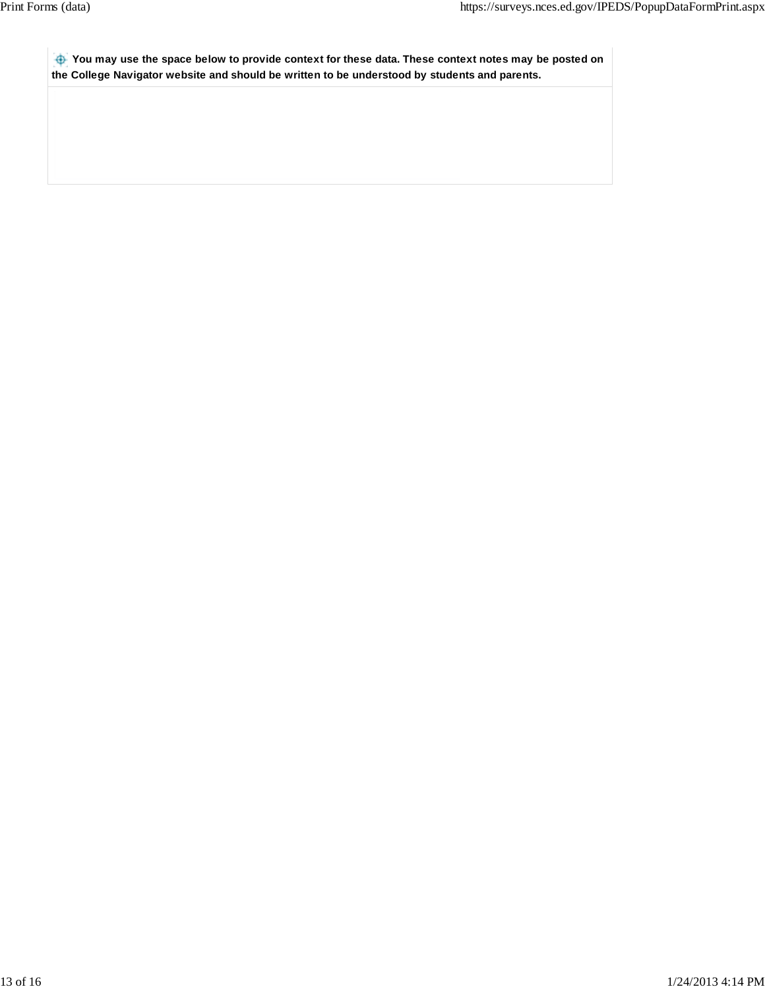**You may use the space below to provide context for these data. These context notes may be posted on the College Navigator website and should be written to be understood by students and parents.**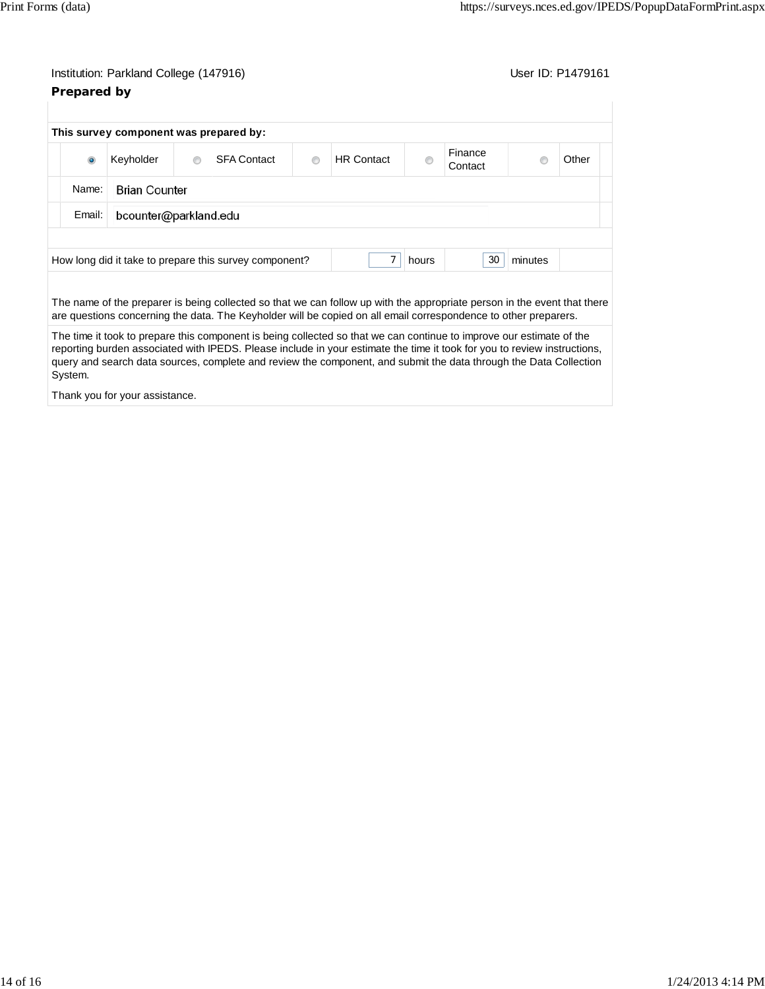# Institution: Parkland College (147916) Contact College (147916) **Prepared by**

|           | This survey component was prepared by: |         |                                                                                                                                                                                                                                                                                                                                                                       |   |                   |       |                    |         |       |
|-----------|----------------------------------------|---------|-----------------------------------------------------------------------------------------------------------------------------------------------------------------------------------------------------------------------------------------------------------------------------------------------------------------------------------------------------------------------|---|-------------------|-------|--------------------|---------|-------|
| $\bullet$ | Keyholder                              | $\circ$ | <b>SFA Contact</b>                                                                                                                                                                                                                                                                                                                                                    | ⋒ | <b>HR Contact</b> |       | Finance<br>Contact |         | Other |
| Name:     | <b>Brian Counter</b>                   |         |                                                                                                                                                                                                                                                                                                                                                                       |   |                   |       |                    |         |       |
| Email:    | bcounter@parkland.edu                  |         |                                                                                                                                                                                                                                                                                                                                                                       |   |                   |       |                    |         |       |
|           |                                        |         | How long did it take to prepare this survey component?                                                                                                                                                                                                                                                                                                                |   |                   | hours | 30                 | minutes |       |
|           |                                        |         | The name of the preparer is being collected so that we can follow up with the appropriate person in the event that there<br>are questions concerning the data. The Keyholder will be copied on all email correspondence to other preparers.                                                                                                                           |   |                   |       |                    |         |       |
|           |                                        |         |                                                                                                                                                                                                                                                                                                                                                                       |   |                   |       |                    |         |       |
| System.   |                                        |         | The time it took to prepare this component is being collected so that we can continue to improve our estimate of the<br>reporting burden associated with IPEDS. Please include in your estimate the time it took for you to review instructions,<br>query and search data sources, complete and review the component, and submit the data through the Data Collection |   |                   |       |                    |         |       |

Thank you for your assistance.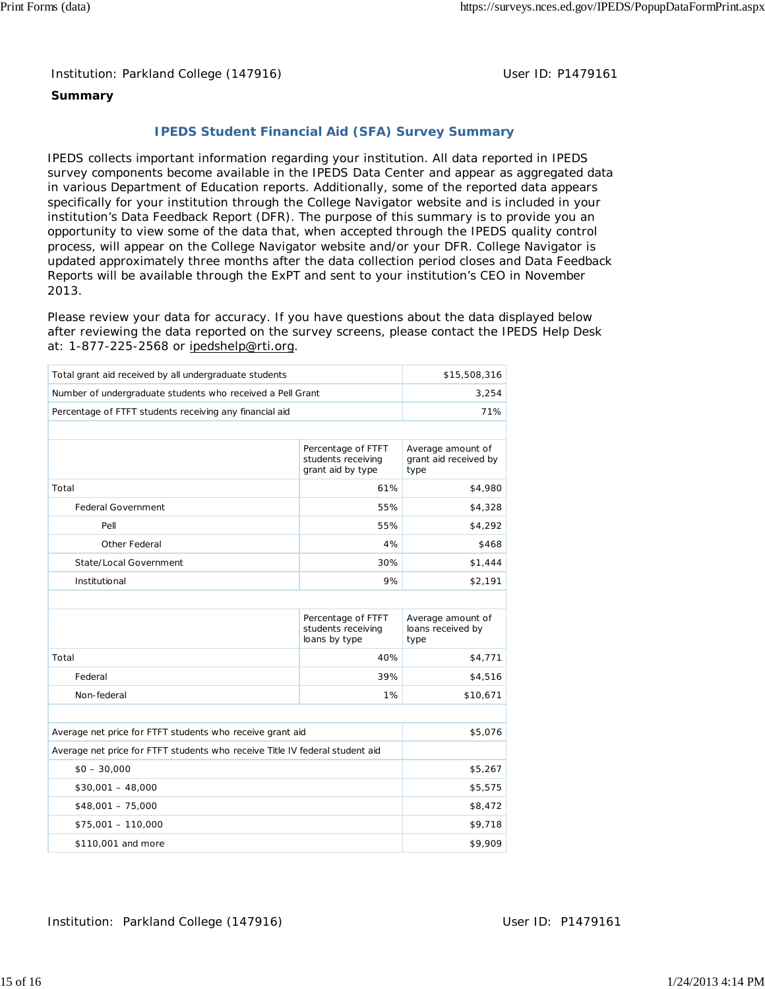Institution: Parkland College (147916) November 2012 10: P1479161

### **Summary**

## **IPEDS Student Financial Aid (SFA) Survey Summary**

IPEDS collects important information regarding your institution. All data reported in IPEDS survey components become available in the IPEDS Data Center and appear as aggregated data in various Department of Education reports. Additionally, some of the reported data appears specifically for your institution through the College Navigator website and is included in your institution's Data Feedback Report (DFR). The purpose of this summary is to provide you an opportunity to view some of the data that, when accepted through the IPEDS quality control process, will appear on the College Navigator website and/or your DFR. College Navigator is updated approximately three months after the data collection period closes and Data Feedback Reports will be available through the ExPT and sent to your institution's CEO in November 2013.

Please review your data for accuracy. If you have questions about the data displayed below after reviewing the data reported on the survey screens, please contact the IPEDS Help Desk at: 1-877-225-2568 or ipedshelp@rti.org.

| Total grant aid received by all undergraduate students                       |                                                               | \$15,508,316                                       |  |
|------------------------------------------------------------------------------|---------------------------------------------------------------|----------------------------------------------------|--|
| Number of undergraduate students who received a Pell Grant                   | 3,254                                                         |                                                    |  |
| Percentage of FTFT students receiving any financial aid                      | 71%                                                           |                                                    |  |
|                                                                              |                                                               |                                                    |  |
|                                                                              | Percentage of FTFT<br>students receiving<br>grant aid by type | Average amount of<br>grant aid received by<br>type |  |
| Total                                                                        | 61%                                                           | \$4,980                                            |  |
| <b>Federal Government</b>                                                    | 55%                                                           | \$4,328                                            |  |
| Pell                                                                         | 55%                                                           | \$4,292                                            |  |
| Other Federal                                                                | 4%                                                            | \$468                                              |  |
| State/Local Government                                                       | 30%                                                           | \$1,444                                            |  |
| Institutional                                                                | \$2,191                                                       |                                                    |  |
|                                                                              |                                                               |                                                    |  |
|                                                                              | Percentage of FTFT<br>students receiving<br>loans by type     | Average amount of<br>loans received by<br>type     |  |
| Total                                                                        | 40%                                                           | \$4,771                                            |  |
| Federal                                                                      | 39%                                                           | \$4,516                                            |  |
| Non-federal                                                                  | 1%                                                            | \$10,671                                           |  |
|                                                                              |                                                               |                                                    |  |
| Average net price for FTFT students who receive grant aid                    |                                                               | \$5,076                                            |  |
| Average net price for FTFT students who receive Title IV federal student aid |                                                               |                                                    |  |
| $$0 - 30,000$                                                                | \$5,267                                                       |                                                    |  |
| $$30,001 - 48,000$                                                           | \$5,575                                                       |                                                    |  |
| $$48,001 - 75,000$                                                           |                                                               | \$8,472                                            |  |
| $$75,001 - 110,000$                                                          |                                                               | \$9,718                                            |  |
| \$110,001 and more                                                           |                                                               | \$9,909                                            |  |